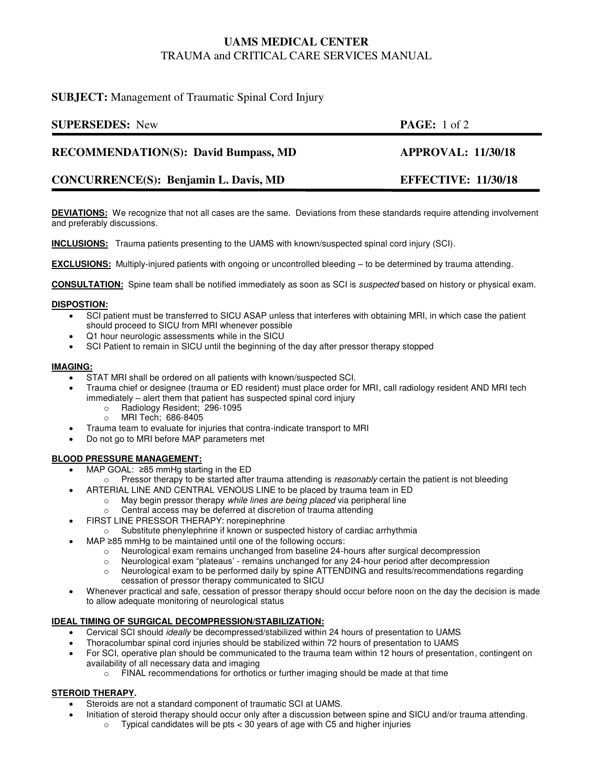# **UAMS MEDICAL CENTER**  TRAUMA and CRITICAL CARE SERVICES MANUAL

## **SUBJECT:** Management of Traumatic Spinal Cord Injury

| <b>SUPERSEDES:</b> New                      | <b>PAGE:</b> 1 of 2           |
|---------------------------------------------|-------------------------------|
| <b>RECOMMENDATION(S): David Bumpass, MD</b> | <b>APPROVAL: 11/30/18</b>     |
| $\alpha$                                    | <b>DERE OBJYCE 44 130 140</b> |

# **CONCURRENCE(S): Benjamin L. Davis, MD EFFECTIVE: 11/30/18**

**DEVIATIONS:** We recognize that not all cases are the same. Deviations from these standards require attending involvement and preferably discussions.

**INCLUSIONS:** Trauma patients presenting to the UAMS with known/suspected spinal cord injury (SCI).

**EXCLUSIONS:** Multiply-injured patients with ongoing or uncontrolled bleeding – to be determined by trauma attending.

**CONSULTATION:** Spine team shall be notified immediately as soon as SCI is *suspected* based on history or physical exam.

### **DISPOSTION:**

- SCI patient must be transferred to SICU ASAP unless that interferes with obtaining MRI, in which case the patient should proceed to SICU from MRI whenever possible
- Q1 hour neurologic assessments while in the SICU
- SCI Patient to remain in SICU until the beginning of the day after pressor therapy stopped

### **IMAGING:**

- STAT MRI shall be ordered on all patients with known/suspected SCI.
- Trauma chief or designee (trauma or ED resident) must place order for MRI, call radiology resident AND MRI tech immediately – alert them that patient has suspected spinal cord injury
	- o Radiology Resident; 296-1095
	- o MRI Tech; 686-8405
- Trauma team to evaluate for injuries that contra-indicate transport to MRI
- Do not go to MRI before MAP parameters met

## **BLOOD PRESSURE MANAGEMENT:**

- MAP GOAL: ≥85 mmHg starting in the ED
- o Pressor therapy to be started after trauma attending is *reasonably* certain the patient is not bleeding
	- ARTERIAL LINE AND CENTRAL VENOUS LINE to be placed by trauma team in ED
		- o May begin pressor therapy *while lines are being placed* via peripheral line
		- Central access may be deferred at discretion of trauma attending
- FIRST LINE PRESSOR THERAPY: norepinephrine
	- $\circ$  Substitute phenylephrine if known or suspected history of cardiac arrhythmia
- MAP ≥85 mmHg to be maintained until one of the following occurs:
	- o Neurological exam remains unchanged from baseline 24-hours after surgical decompression
	- o Neurological exam "plateaus' remains unchanged for any 24-hour period after decompression
	- o Neurological exam to be performed daily by spine ATTENDING and results/recommendations regarding cessation of pressor therapy communicated to SICU
- Whenever practical and safe, cessation of pressor therapy should occur before noon on the day the decision is made to allow adequate monitoring of neurological status

## **IDEAL TIMING OF SURGICAL DECOMPRESSION/STABILIZATION:**

- Cervical SCI should *ideally* be decompressed/stabilized within 24 hours of presentation to UAMS
- Thoracolumbar spinal cord injuries should be stabilized within 72 hours of presentation to UAMS
- For SCI, operative plan should be communicated to the trauma team within 12 hours of presentation, contingent on availability of all necessary data and imaging
	- o FINAL recommendations for orthotics or further imaging should be made at that time

### **STEROID THERAPY.**

- Steroids are not a standard component of traumatic SCI at UAMS.
	- Initiation of steroid therapy should occur only after a discussion between spine and SICU and/or trauma attending.
		- $\circ$  Typical candidates will be pts < 30 years of age with C5 and higher injuries